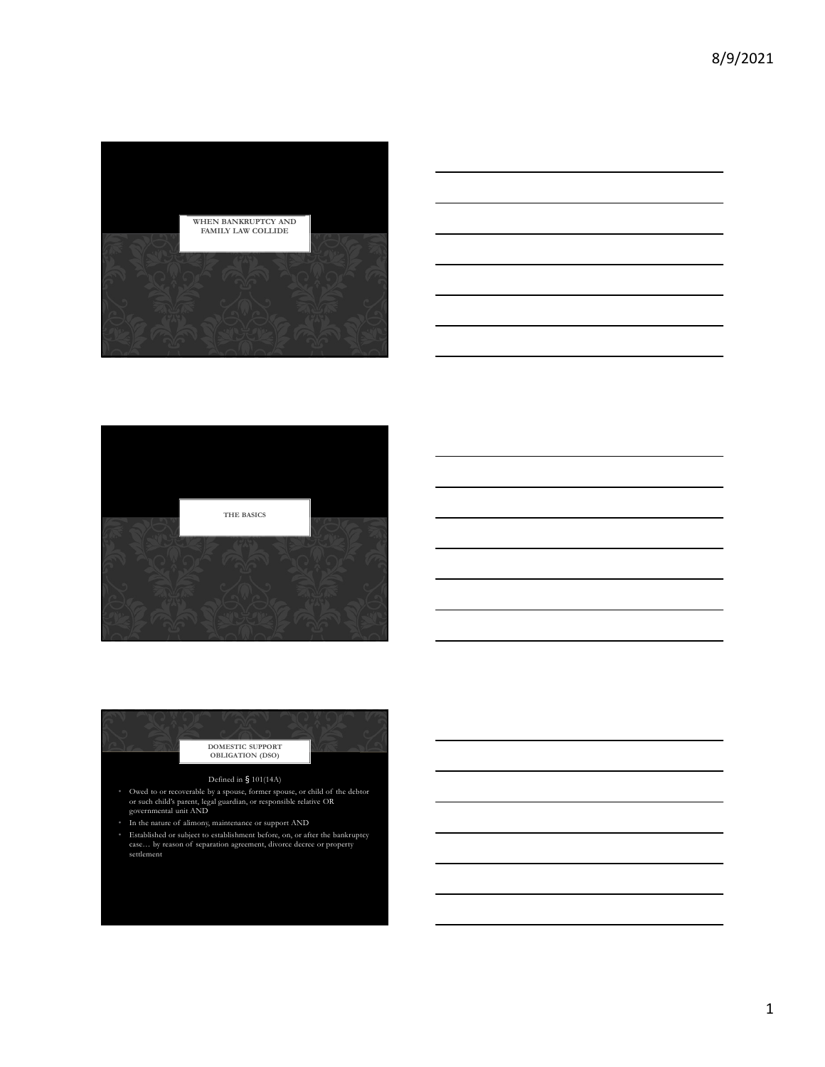







• Established or subject to establishment before, on, or after the bankruptcy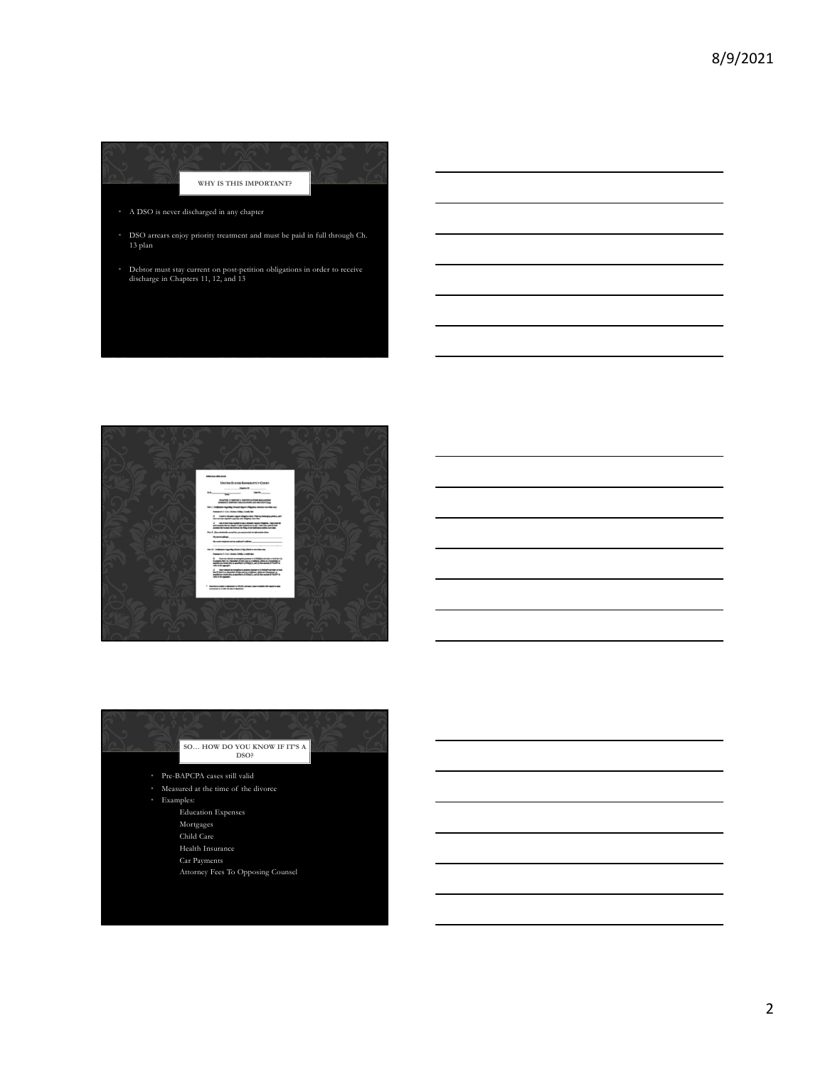





2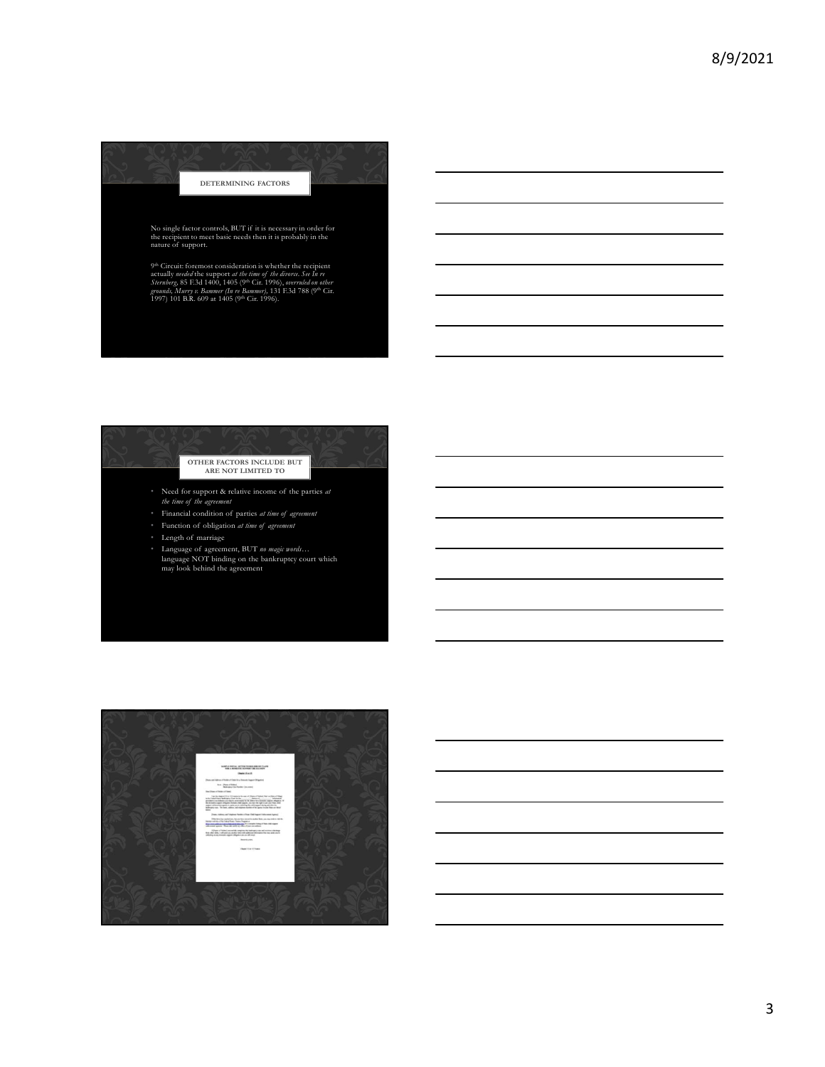

- 
- 
- 
- 
- **Example 12** OTHER FACTORS INCLUDE BUT<br>
ARE NOT LIMITED TO<br>
Need for support & relative income of the parties at<br>
the time of the agreement<br>
Financial condition of parties at time of agreement<br>
Length of marriage<br>
Language

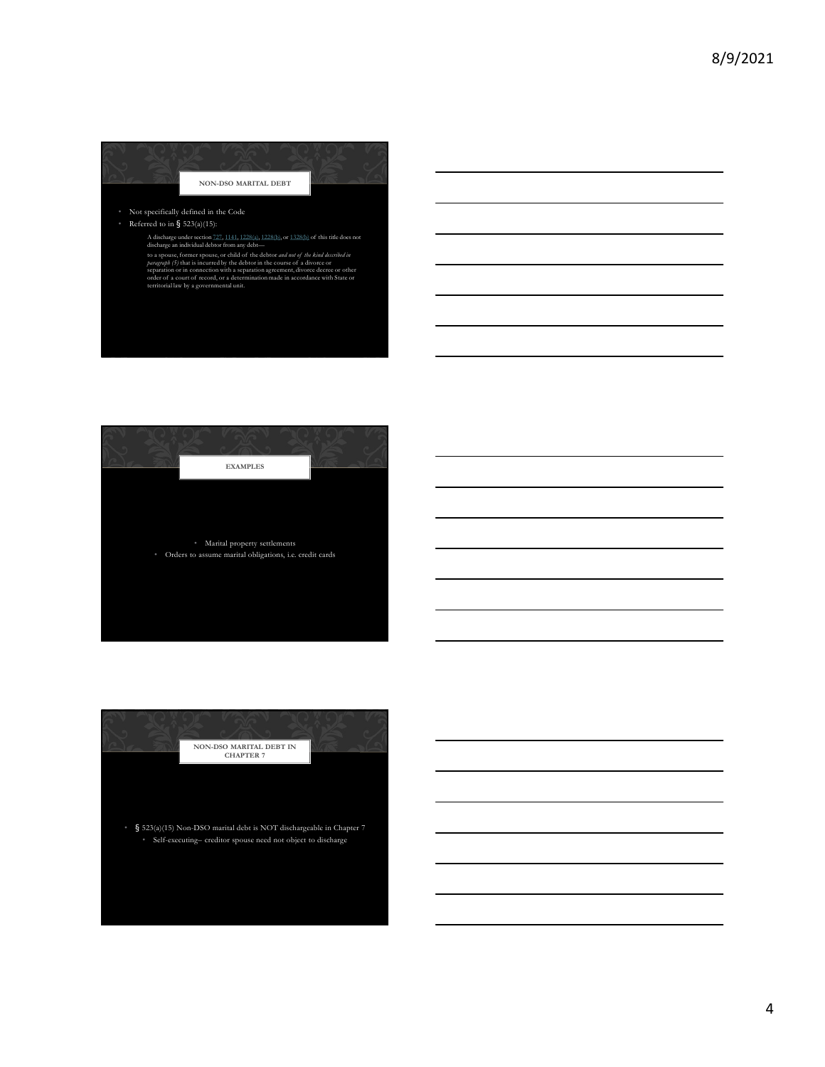

## • Referred to in § 523(a)(15):



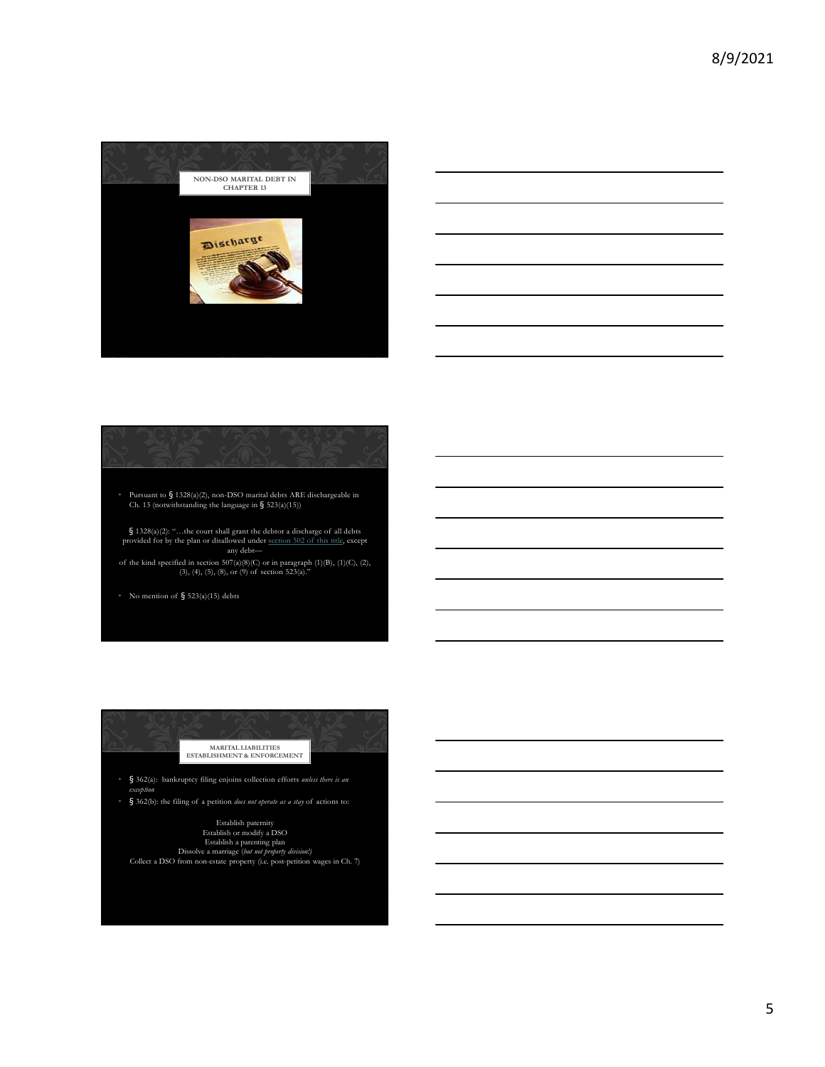



• Pursuant to § 1328(a)(2), non-DSO marital debts ARE dischargeable in Ch. 13 (notwithstanding the language in § 523(a)(15))

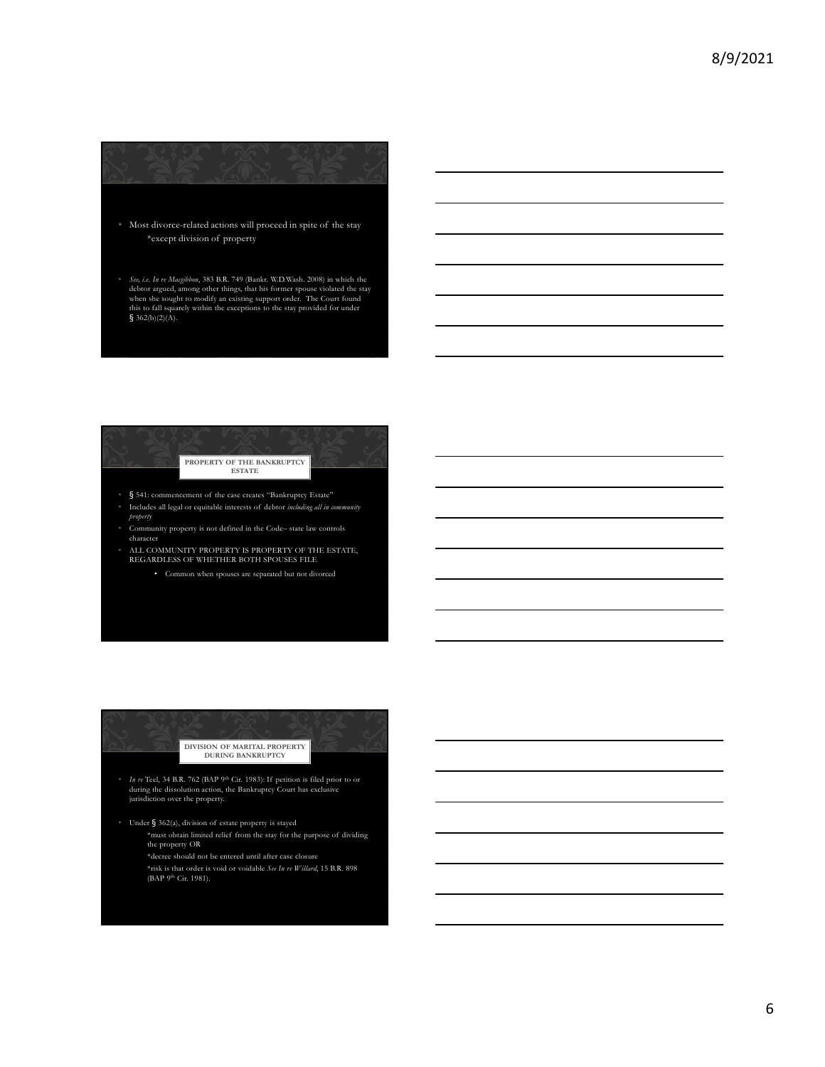$\frac{8}{9}$ <br>  $\frac{1}{2}$  Most divorce-related actions will proceed in spite of the stay<br>  $\frac{1}{2}$  Most divorce-related actions will proceed in spite of the stay<br>  $\frac{1}{2}$  Most divorce-related actions will proceed in spite o  $\blacksquare$ <br>  $\blacksquare$ <br>  $\blacksquare$ <br>  $\blacksquare$ <br>  $\blacksquare$ <br>  $\blacksquare$ <br>  $\blacksquare$ <br>  $\blacksquare$ <br>  $\blacksquare$   $\blacksquare$ <br>  $\blacksquare$   $\blacksquare$ <br>  $\blacksquare$   $\blacksquare$   $\blacksquare$ <br>  $\blacksquare$   $\blacksquare$   $\blacksquare$ <br>  $\blacksquare$   $\blacksquare$   $\blacksquare$   $\blacksquare$   $\blacksquare$   $\blacksquare$   $\blacksquare$   $\blacksquare$   $\blacksquare$   $\blacksquare$   $\blacksquare$   $\blacksquare$ Sec, i.e. In re Magibbon, 383 B.R. 749 (Bankr. W.D.Wash. 2008) in which the debtor argued, among other things, that his former spouse violated the stay when she sought to modify an existing support order. The Court found



- property
- 
- -



the property OR

\*decree should not be entered until after case closure \*risk is that order is void or voidable  $See$   $In$   $re$   $Willard,$   $15$   $\rm B.R.$   $898$  (BAP  $9^{\rm th}$  Cir. 1981).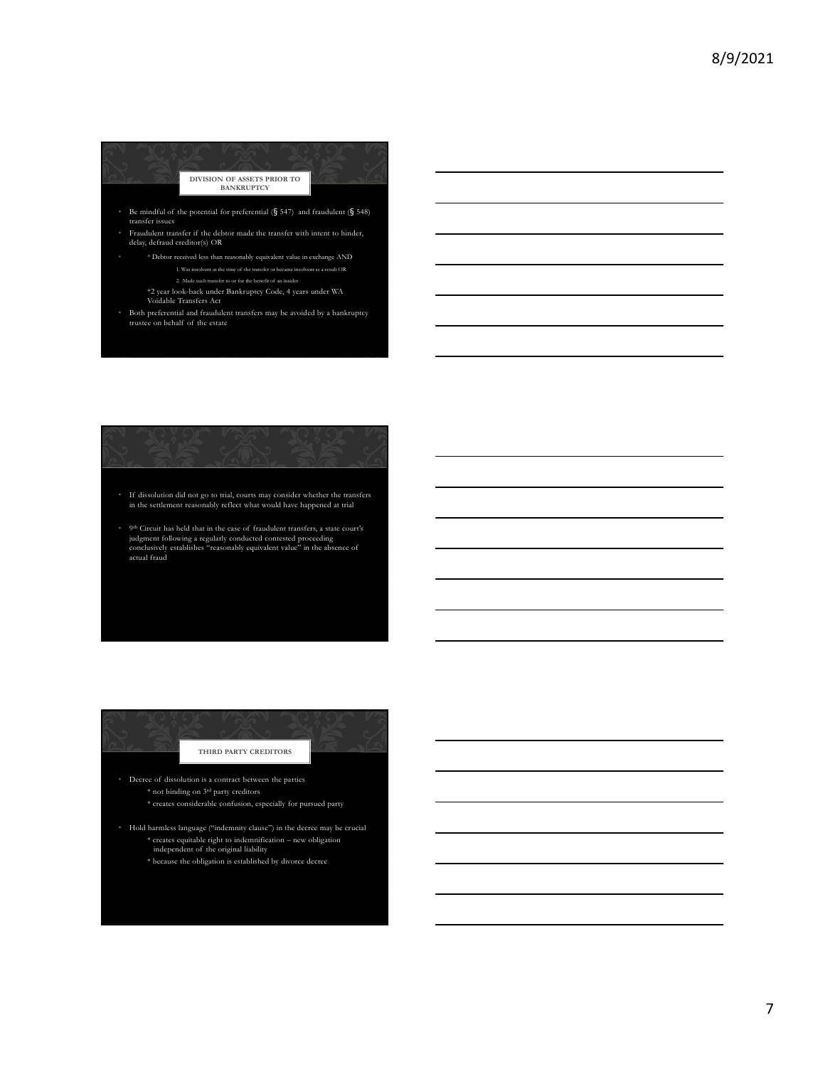

 $^\circ$  Fraudulent transfer if the debtor made the transfer with intent to hinder, delay, defraud creditor(s) OR

- \* Debtor received less than reasonably equivalent value in exchange AND
	-
	-
	-
- 

**• Exampled 20 Example 20 Example 21 Example 21 Example 21 Consider a ready of the consideration** product of  $\hat{f}$  **the consideration** of  $\hat{f}$  **Consider a ready consider whether the transferse whether the**  $^\circ$  If dissolution did not go to trial, courts may consider whether the transfers in the settlement reasonably reflect what would have happened at trial for model of the potential for proference of  $S$  is the case of fraudulent  $S$  is the case of fraudulent transfers, a state court of  $S$  fraudulent transfers, a state court of  $S$  fraudulent transfers, a state court of  $S$ conclusively establishes are conclusively established in the absonably extend value of actual framework equivalent value of actual framework equivalent values of actual framework equivalent values of  $\alpha$  actual framework

• 9 judgment following a regularly conducted contested proceeding